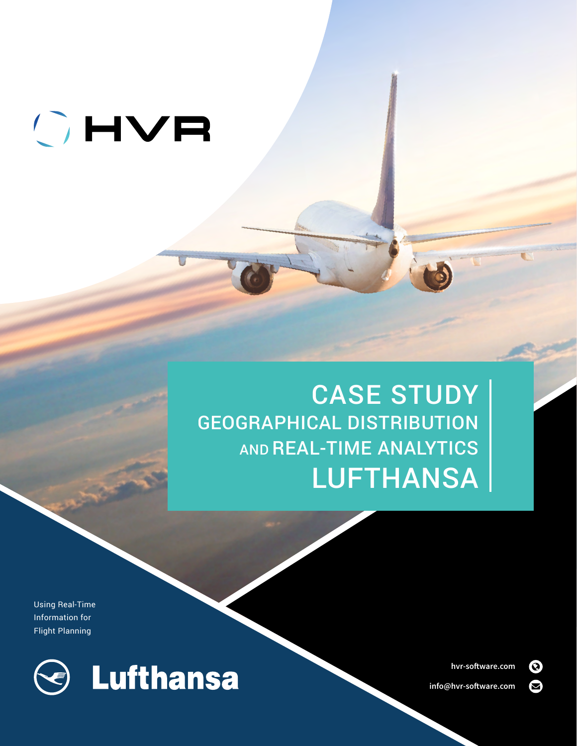# OHVR

# CASE STUDY GEOGRAPHICAL DISTRIBUTION AND REAL-TIME ANALYTICS LUFTHANSA

Using Real-Time Information for Flight Planning



**[hvr-software.com](https://www.hvr-software.com/)** 

**[info@hvr-software.com](mailto:info%40hvr-software.com?subject=)**

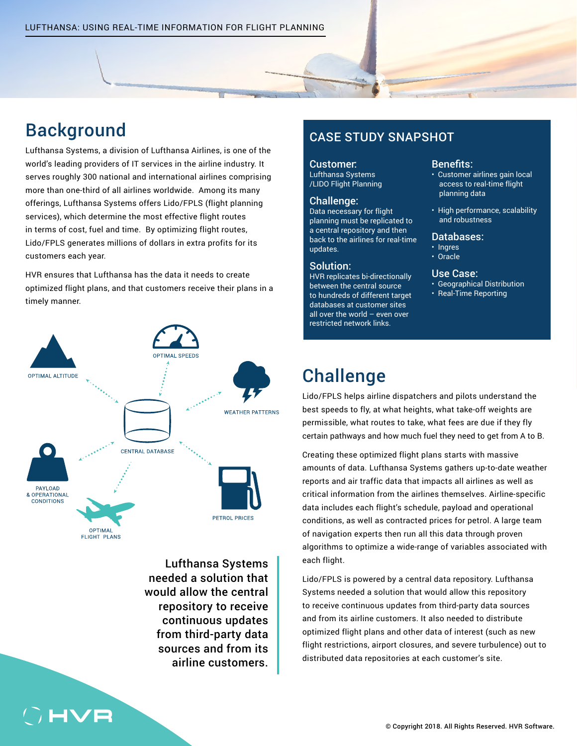# Background

Lufthansa Systems, a division of Lufthansa Airlines, is one of the world's leading providers of IT services in the airline industry. It serves roughly 300 national and international airlines comprising more than one-third of all airlines worldwide. Among its many offerings, Lufthansa Systems offers Lido/FPLS (flight planning services), which determine the most effective flight routes in terms of cost, fuel and time. By optimizing flight routes, Lido/FPLS generates millions of dollars in extra profits for its customers each year.

HVR ensures that Lufthansa has the data it needs to create optimized flight plans, and that customers receive their plans in a timely manner.



Lufthansa Systems needed a solution that would allow the central repository to receive continuous updates from third-party data sources and from its airline customers.

### CASE STUDY SNAPSHOT

### Customer:

Lufthansa Systems /LIDO Flight Planning

### Challenge:

Data necessary for flight planning must be replicated to a central repository and then back to the airlines for real-time updates.

### Solution:

HVR replicates bi-directionally between the central source to hundreds of different target databases at customer sites all over the world – even over restricted network links.

### Benefits:

- Customer airlines gain local access to real-time flight planning data
- High performance, scalability and robustness

### Databases:

• Ingres • Oracle

- Use Case:
- Geographical Distribution
- Real-Time Reporting

# **Challenge**

Lido/FPLS helps airline dispatchers and pilots understand the best speeds to fly, at what heights, what take-off weights are permissible, what routes to take, what fees are due if they fly certain pathways and how much fuel they need to get from A to B.

Creating these optimized flight plans starts with massive amounts of data. Lufthansa Systems gathers up-to-date weather reports and air traffic data that impacts all airlines as well as critical information from the airlines themselves. Airline-specific data includes each flight's schedule, payload and operational conditions, as well as contracted prices for petrol. A large team of navigation experts then run all this data through proven algorithms to optimize a wide-range of variables associated with each flight.

Lido/FPLS is powered by a central data repository. Lufthansa Systems needed a solution that would allow this repository to receive continuous updates from third-party data sources and from its airline customers. It also needed to distribute optimized flight plans and other data of interest (such as new flight restrictions, airport closures, and severe turbulence) out to distributed data repositories at each customer's site.

## **HVF**